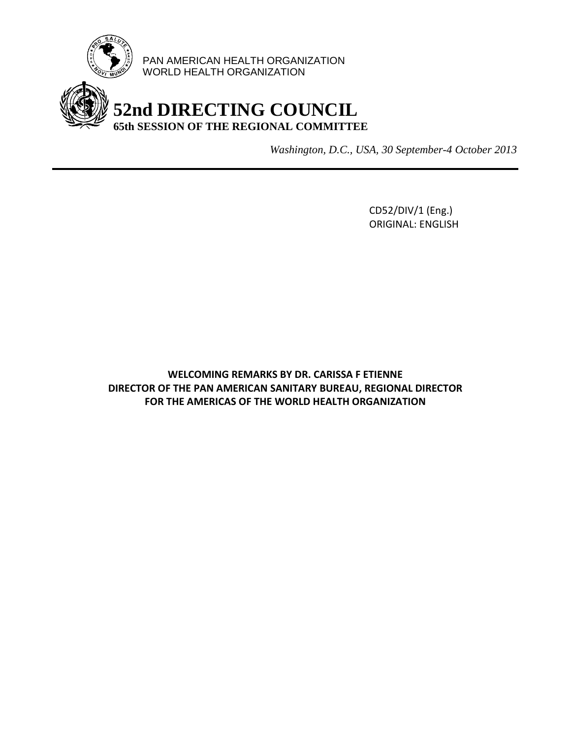

PAN AMERICAN HEALTH ORGANIZATION WORLD HEALTH ORGANIZATION

## **52nd DIRECTING COUNCIL 65th SESSION OF THE REGIONAL COMMITTEE**

*Washington, D.C., USA, 30 September-4 October 2013*

CD52/DIV/1 (Eng.) ORIGINAL: ENGLISH

**WELCOMING REMARKS BY DR. CARISSA F ETIENNE DIRECTOR OF THE PAN AMERICAN SANITARY BUREAU, REGIONAL DIRECTOR FOR THE AMERICAS OF THE WORLD HEALTH ORGANIZATION**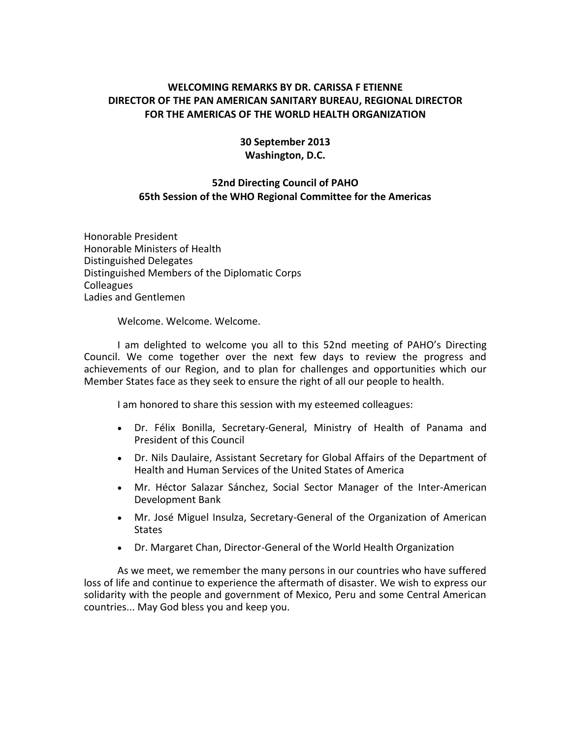## **WELCOMING REMARKS BY DR. CARISSA F ETIENNE DIRECTOR OF THE PAN AMERICAN SANITARY BUREAU, REGIONAL DIRECTOR FOR THE AMERICAS OF THE WORLD HEALTH ORGANIZATION**

## **30 September 2013 Washington, D.C.**

## **52nd Directing Council of PAHO 65th Session of the WHO Regional Committee for the Americas**

Honorable President Honorable Ministers of Health Distinguished Delegates Distinguished Members of the Diplomatic Corps Colleagues Ladies and Gentlemen

Welcome. Welcome. Welcome.

I am delighted to welcome you all to this 52nd meeting of PAHO's Directing Council. We come together over the next few days to review the progress and achievements of our Region, and to plan for challenges and opportunities which our Member States face as they seek to ensure the right of all our people to health.

I am honored to share this session with my esteemed colleagues:

- Dr. Félix Bonilla, Secretary-General, Ministry of Health of Panama and President of this Council
- Dr. Nils Daulaire, Assistant Secretary for Global Affairs of the Department of Health and Human Services of the United States of America
- Mr. Héctor Salazar Sánchez, Social Sector Manager of the Inter-American Development Bank
- Mr. José Miguel Insulza, Secretary-General of the Organization of American **States**
- Dr. Margaret Chan, Director-General of the World Health Organization

As we meet, we remember the many persons in our countries who have suffered loss of life and continue to experience the aftermath of disaster. We wish to express our solidarity with the people and government of Mexico, Peru and some Central American countries... May God bless you and keep you.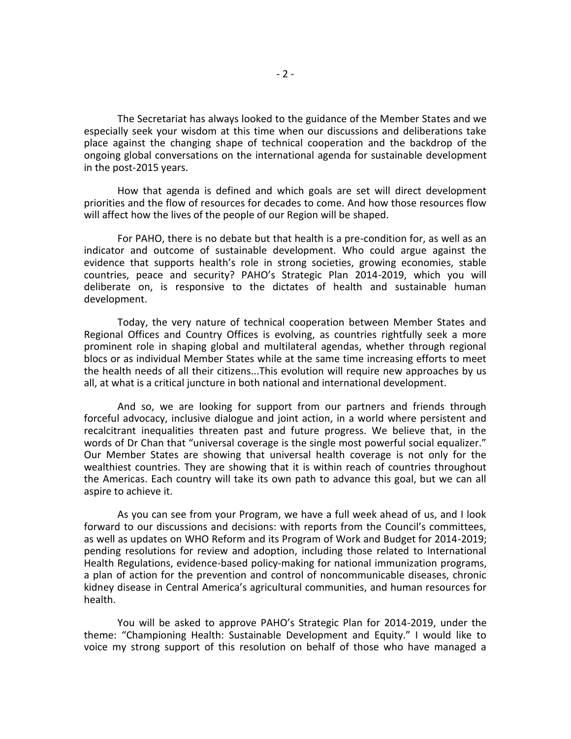The Secretariat has always looked to the guidance of the Member States and we especially seek your wisdom at this time when our discussions and deliberations take place against the changing shape of technical cooperation and the backdrop of the ongoing global conversations on the international agenda for sustainable development in the post-2015 years.

How that agenda is defined and which goals are set will direct development priorities and the flow of resources for decades to come. And how those resources flow will affect how the lives of the people of our Region will be shaped.

For PAHO, there is no debate but that health is a pre-condition for, as well as an indicator and outcome of sustainable development. Who could argue against the evidence that supports health's role in strong societies, growing economies, stable countries, peace and security? PAHO's Strategic Plan 2014-2019, which you will deliberate on, is responsive to the dictates of health and sustainable human development.

Today, the very nature of technical cooperation between Member States and Regional Offices and Country Offices is evolving, as countries rightfully seek a more prominent role in shaping global and multilateral agendas, whether through regional blocs or as individual Member States while at the same time increasing efforts to meet the health needs of all their citizens...This evolution will require new approaches by us all, at what is a critical juncture in both national and international development.

And so, we are looking for support from our partners and friends through forceful advocacy, inclusive dialogue and joint action, in a world where persistent and recalcitrant inequalities threaten past and future progress. We believe that, in the words of Dr Chan that "universal coverage is the single most powerful social equalizer." Our Member States are showing that universal health coverage is not only for the wealthiest countries. They are showing that it is within reach of countries throughout the Americas. Each country will take its own path to advance this goal, but we can all aspire to achieve it.

As you can see from your Program, we have a full week ahead of us, and I look forward to our discussions and decisions: with reports from the Council's committees, as well as updates on WHO Reform and its Program of Work and Budget for 2014-2019; pending resolutions for review and adoption, including those related to International Health Regulations, evidence-based policy-making for national immunization programs, a plan of action for the prevention and control of noncommunicable diseases, chronic kidney disease in Central America's agricultural communities, and human resources for health.

You will be asked to approve PAHO's Strategic Plan for 2014-2019, under the theme: "Championing Health: Sustainable Development and Equity." I would like to voice my strong support of this resolution on behalf of those who have managed a